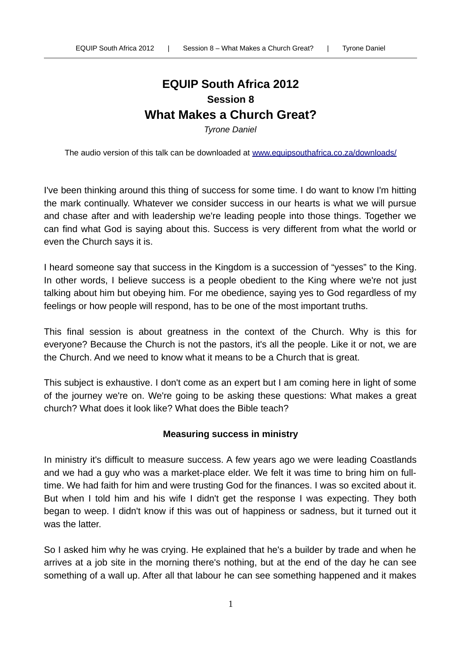# **EQUIP South Africa 2012 Session 8 What Makes a Church Great?**

*Tyrone Daniel*

The audio version of this talk can be downloaded at [www.equipsouthafrica.co.za/downloads/](http://www.equipsouthafrica.co.za/downloads/)

I've been thinking around this thing of success for some time. I do want to know I'm hitting the mark continually. Whatever we consider success in our hearts is what we will pursue and chase after and with leadership we're leading people into those things. Together we can find what God is saying about this. Success is very different from what the world or even the Church says it is.

I heard someone say that success in the Kingdom is a succession of "yesses" to the King. In other words, I believe success is a people obedient to the King where we're not just talking about him but obeying him. For me obedience, saying yes to God regardless of my feelings or how people will respond, has to be one of the most important truths.

This final session is about greatness in the context of the Church. Why is this for everyone? Because the Church is not the pastors, it's all the people. Like it or not, we are the Church. And we need to know what it means to be a Church that is great.

This subject is exhaustive. I don't come as an expert but I am coming here in light of some of the journey we're on. We're going to be asking these questions: What makes a great church? What does it look like? What does the Bible teach?

## **Measuring success in ministry**

In ministry it's difficult to measure success. A few years ago we were leading Coastlands and we had a guy who was a market-place elder. We felt it was time to bring him on fulltime. We had faith for him and were trusting God for the finances. I was so excited about it. But when I told him and his wife I didn't get the response I was expecting. They both began to weep. I didn't know if this was out of happiness or sadness, but it turned out it was the latter.

So I asked him why he was crying. He explained that he's a builder by trade and when he arrives at a job site in the morning there's nothing, but at the end of the day he can see something of a wall up. After all that labour he can see something happened and it makes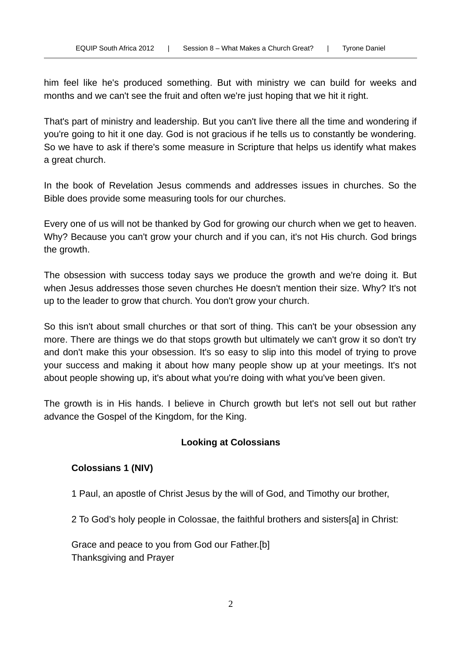him feel like he's produced something. But with ministry we can build for weeks and months and we can't see the fruit and often we're just hoping that we hit it right.

That's part of ministry and leadership. But you can't live there all the time and wondering if you're going to hit it one day. God is not gracious if he tells us to constantly be wondering. So we have to ask if there's some measure in Scripture that helps us identify what makes a great church.

In the book of Revelation Jesus commends and addresses issues in churches. So the Bible does provide some measuring tools for our churches.

Every one of us will not be thanked by God for growing our church when we get to heaven. Why? Because you can't grow your church and if you can, it's not His church. God brings the growth.

The obsession with success today says we produce the growth and we're doing it. But when Jesus addresses those seven churches He doesn't mention their size. Why? It's not up to the leader to grow that church. You don't grow your church.

So this isn't about small churches or that sort of thing. This can't be your obsession any more. There are things we do that stops growth but ultimately we can't grow it so don't try and don't make this your obsession. It's so easy to slip into this model of trying to prove your success and making it about how many people show up at your meetings. It's not about people showing up, it's about what you're doing with what you've been given.

The growth is in His hands. I believe in Church growth but let's not sell out but rather advance the Gospel of the Kingdom, for the King.

# **Looking at Colossians**

# **Colossians 1 (NIV)**

1 Paul, an apostle of Christ Jesus by the will of God, and Timothy our brother,

2 To God's holy people in Colossae, the faithful brothers and sisters[a] in Christ:

Grace and peace to you from God our Father.[b] Thanksgiving and Prayer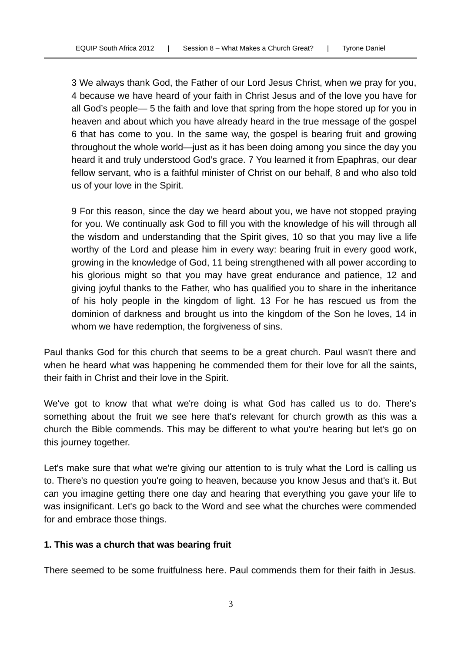3 We always thank God, the Father of our Lord Jesus Christ, when we pray for you, 4 because we have heard of your faith in Christ Jesus and of the love you have for all God's people— 5 the faith and love that spring from the hope stored up for you in heaven and about which you have already heard in the true message of the gospel 6 that has come to you. In the same way, the gospel is bearing fruit and growing throughout the whole world—just as it has been doing among you since the day you heard it and truly understood God's grace. 7 You learned it from Epaphras, our dear fellow servant, who is a faithful minister of Christ on our behalf, 8 and who also told us of your love in the Spirit.

9 For this reason, since the day we heard about you, we have not stopped praying for you. We continually ask God to fill you with the knowledge of his will through all the wisdom and understanding that the Spirit gives, 10 so that you may live a life worthy of the Lord and please him in every way: bearing fruit in every good work, growing in the knowledge of God, 11 being strengthened with all power according to his glorious might so that you may have great endurance and patience, 12 and giving joyful thanks to the Father, who has qualified you to share in the inheritance of his holy people in the kingdom of light. 13 For he has rescued us from the dominion of darkness and brought us into the kingdom of the Son he loves, 14 in whom we have redemption, the forgiveness of sins.

Paul thanks God for this church that seems to be a great church. Paul wasn't there and when he heard what was happening he commended them for their love for all the saints, their faith in Christ and their love in the Spirit.

We've got to know that what we're doing is what God has called us to do. There's something about the fruit we see here that's relevant for church growth as this was a church the Bible commends. This may be different to what you're hearing but let's go on this journey together.

Let's make sure that what we're giving our attention to is truly what the Lord is calling us to. There's no question you're going to heaven, because you know Jesus and that's it. But can you imagine getting there one day and hearing that everything you gave your life to was insignificant. Let's go back to the Word and see what the churches were commended for and embrace those things.

## **1. This was a church that was bearing fruit**

There seemed to be some fruitfulness here. Paul commends them for their faith in Jesus.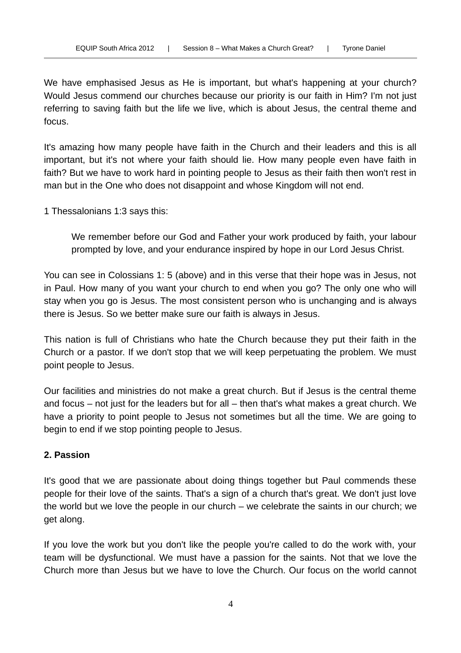We have emphasised Jesus as He is important, but what's happening at your church? Would Jesus commend our churches because our priority is our faith in Him? I'm not just referring to saving faith but the life we live, which is about Jesus, the central theme and focus.

It's amazing how many people have faith in the Church and their leaders and this is all important, but it's not where your faith should lie. How many people even have faith in faith? But we have to work hard in pointing people to Jesus as their faith then won't rest in man but in the One who does not disappoint and whose Kingdom will not end.

1 Thessalonians 1:3 says this:

We remember before our God and Father your work produced by faith, your labour prompted by love, and your endurance inspired by hope in our Lord Jesus Christ.

You can see in Colossians 1: 5 (above) and in this verse that their hope was in Jesus, not in Paul. How many of you want your church to end when you go? The only one who will stay when you go is Jesus. The most consistent person who is unchanging and is always there is Jesus. So we better make sure our faith is always in Jesus.

This nation is full of Christians who hate the Church because they put their faith in the Church or a pastor. If we don't stop that we will keep perpetuating the problem. We must point people to Jesus.

Our facilities and ministries do not make a great church. But if Jesus is the central theme and focus – not just for the leaders but for all – then that's what makes a great church. We have a priority to point people to Jesus not sometimes but all the time. We are going to begin to end if we stop pointing people to Jesus.

## **2. Passion**

It's good that we are passionate about doing things together but Paul commends these people for their love of the saints. That's a sign of a church that's great. We don't just love the world but we love the people in our church – we celebrate the saints in our church; we get along.

If you love the work but you don't like the people you're called to do the work with, your team will be dysfunctional. We must have a passion for the saints. Not that we love the Church more than Jesus but we have to love the Church. Our focus on the world cannot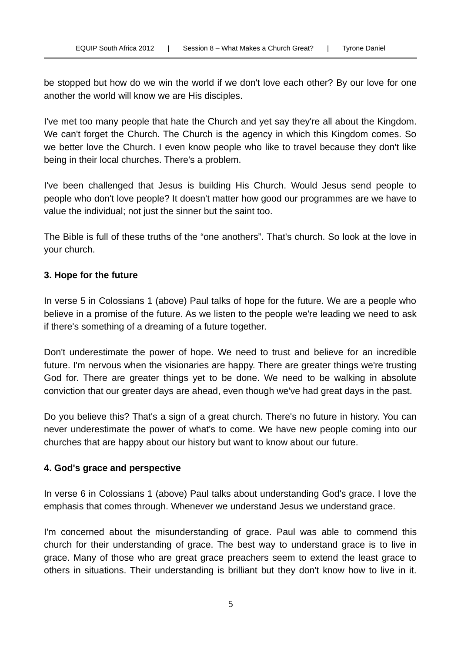be stopped but how do we win the world if we don't love each other? By our love for one another the world will know we are His disciples.

I've met too many people that hate the Church and yet say they're all about the Kingdom. We can't forget the Church. The Church is the agency in which this Kingdom comes. So we better love the Church. I even know people who like to travel because they don't like being in their local churches. There's a problem.

I've been challenged that Jesus is building His Church. Would Jesus send people to people who don't love people? It doesn't matter how good our programmes are we have to value the individual; not just the sinner but the saint too.

The Bible is full of these truths of the "one anothers". That's church. So look at the love in your church.

## **3. Hope for the future**

In verse 5 in Colossians 1 (above) Paul talks of hope for the future. We are a people who believe in a promise of the future. As we listen to the people we're leading we need to ask if there's something of a dreaming of a future together.

Don't underestimate the power of hope. We need to trust and believe for an incredible future. I'm nervous when the visionaries are happy. There are greater things we're trusting God for. There are greater things yet to be done. We need to be walking in absolute conviction that our greater days are ahead, even though we've had great days in the past.

Do you believe this? That's a sign of a great church. There's no future in history. You can never underestimate the power of what's to come. We have new people coming into our churches that are happy about our history but want to know about our future.

## **4. God's grace and perspective**

In verse 6 in Colossians 1 (above) Paul talks about understanding God's grace. I love the emphasis that comes through. Whenever we understand Jesus we understand grace.

I'm concerned about the misunderstanding of grace. Paul was able to commend this church for their understanding of grace. The best way to understand grace is to live in grace. Many of those who are great grace preachers seem to extend the least grace to others in situations. Their understanding is brilliant but they don't know how to live in it.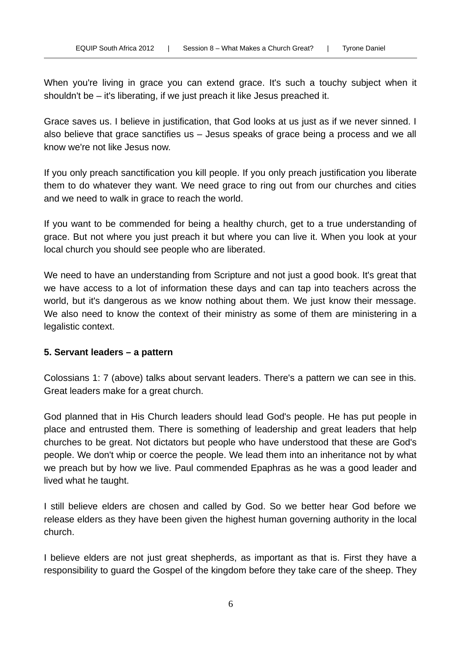When you're living in grace you can extend grace. It's such a touchy subject when it shouldn't be – it's liberating, if we just preach it like Jesus preached it.

Grace saves us. I believe in justification, that God looks at us just as if we never sinned. I also believe that grace sanctifies us – Jesus speaks of grace being a process and we all know we're not like Jesus now.

If you only preach sanctification you kill people. If you only preach justification you liberate them to do whatever they want. We need grace to ring out from our churches and cities and we need to walk in grace to reach the world.

If you want to be commended for being a healthy church, get to a true understanding of grace. But not where you just preach it but where you can live it. When you look at your local church you should see people who are liberated.

We need to have an understanding from Scripture and not just a good book. It's great that we have access to a lot of information these days and can tap into teachers across the world, but it's dangerous as we know nothing about them. We just know their message. We also need to know the context of their ministry as some of them are ministering in a legalistic context.

## **5. Servant leaders – a pattern**

Colossians 1: 7 (above) talks about servant leaders. There's a pattern we can see in this. Great leaders make for a great church.

God planned that in His Church leaders should lead God's people. He has put people in place and entrusted them. There is something of leadership and great leaders that help churches to be great. Not dictators but people who have understood that these are God's people. We don't whip or coerce the people. We lead them into an inheritance not by what we preach but by how we live. Paul commended Epaphras as he was a good leader and lived what he taught.

I still believe elders are chosen and called by God. So we better hear God before we release elders as they have been given the highest human governing authority in the local church.

I believe elders are not just great shepherds, as important as that is. First they have a responsibility to guard the Gospel of the kingdom before they take care of the sheep. They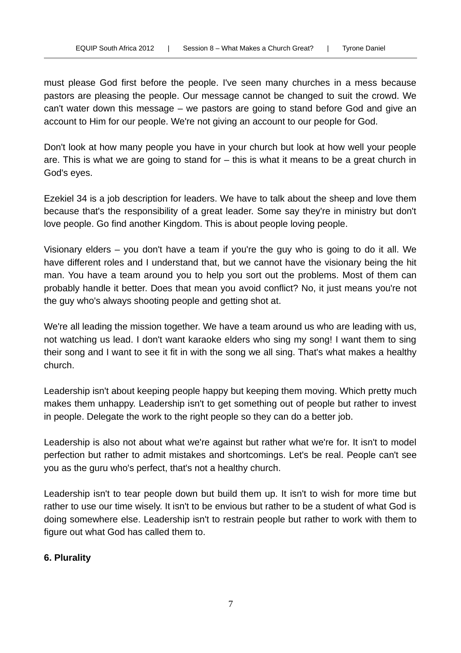must please God first before the people. I've seen many churches in a mess because pastors are pleasing the people. Our message cannot be changed to suit the crowd. We can't water down this message – we pastors are going to stand before God and give an account to Him for our people. We're not giving an account to our people for God.

Don't look at how many people you have in your church but look at how well your people are. This is what we are going to stand for – this is what it means to be a great church in God's eyes.

Ezekiel 34 is a job description for leaders. We have to talk about the sheep and love them because that's the responsibility of a great leader. Some say they're in ministry but don't love people. Go find another Kingdom. This is about people loving people.

Visionary elders – you don't have a team if you're the guy who is going to do it all. We have different roles and I understand that, but we cannot have the visionary being the hit man. You have a team around you to help you sort out the problems. Most of them can probably handle it better. Does that mean you avoid conflict? No, it just means you're not the guy who's always shooting people and getting shot at.

We're all leading the mission together. We have a team around us who are leading with us, not watching us lead. I don't want karaoke elders who sing my song! I want them to sing their song and I want to see it fit in with the song we all sing. That's what makes a healthy church.

Leadership isn't about keeping people happy but keeping them moving. Which pretty much makes them unhappy. Leadership isn't to get something out of people but rather to invest in people. Delegate the work to the right people so they can do a better job.

Leadership is also not about what we're against but rather what we're for. It isn't to model perfection but rather to admit mistakes and shortcomings. Let's be real. People can't see you as the guru who's perfect, that's not a healthy church.

Leadership isn't to tear people down but build them up. It isn't to wish for more time but rather to use our time wisely. It isn't to be envious but rather to be a student of what God is doing somewhere else. Leadership isn't to restrain people but rather to work with them to figure out what God has called them to.

## **6. Plurality**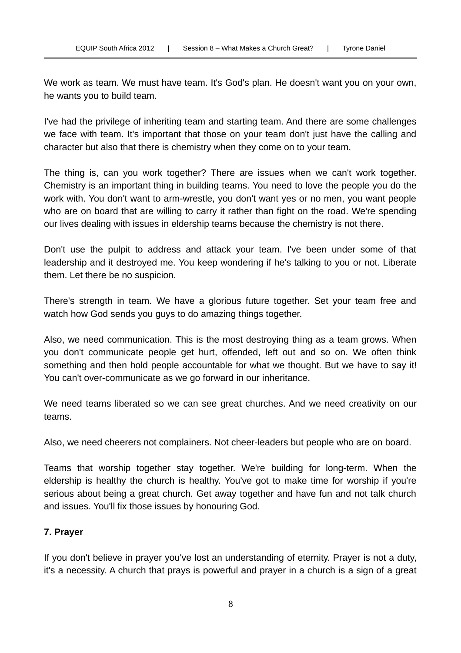We work as team. We must have team. It's God's plan. He doesn't want you on your own, he wants you to build team.

I've had the privilege of inheriting team and starting team. And there are some challenges we face with team. It's important that those on your team don't just have the calling and character but also that there is chemistry when they come on to your team.

The thing is, can you work together? There are issues when we can't work together. Chemistry is an important thing in building teams. You need to love the people you do the work with. You don't want to arm-wrestle, you don't want yes or no men, you want people who are on board that are willing to carry it rather than fight on the road. We're spending our lives dealing with issues in eldership teams because the chemistry is not there.

Don't use the pulpit to address and attack your team. I've been under some of that leadership and it destroyed me. You keep wondering if he's talking to you or not. Liberate them. Let there be no suspicion.

There's strength in team. We have a glorious future together. Set your team free and watch how God sends you guys to do amazing things together.

Also, we need communication. This is the most destroying thing as a team grows. When you don't communicate people get hurt, offended, left out and so on. We often think something and then hold people accountable for what we thought. But we have to say it! You can't over-communicate as we go forward in our inheritance.

We need teams liberated so we can see great churches. And we need creativity on our teams.

Also, we need cheerers not complainers. Not cheer-leaders but people who are on board.

Teams that worship together stay together. We're building for long-term. When the eldership is healthy the church is healthy. You've got to make time for worship if you're serious about being a great church. Get away together and have fun and not talk church and issues. You'll fix those issues by honouring God.

# **7. Prayer**

If you don't believe in prayer you've lost an understanding of eternity. Prayer is not a duty, it's a necessity. A church that prays is powerful and prayer in a church is a sign of a great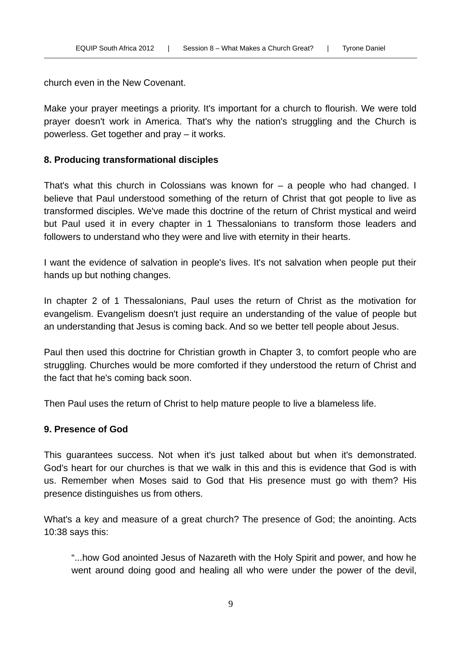church even in the New Covenant.

Make your prayer meetings a priority. It's important for a church to flourish. We were told prayer doesn't work in America. That's why the nation's struggling and the Church is powerless. Get together and pray – it works.

## **8. Producing transformational disciples**

That's what this church in Colossians was known for – a people who had changed. I believe that Paul understood something of the return of Christ that got people to live as transformed disciples. We've made this doctrine of the return of Christ mystical and weird but Paul used it in every chapter in 1 Thessalonians to transform those leaders and followers to understand who they were and live with eternity in their hearts.

I want the evidence of salvation in people's lives. It's not salvation when people put their hands up but nothing changes.

In chapter 2 of 1 Thessalonians, Paul uses the return of Christ as the motivation for evangelism. Evangelism doesn't just require an understanding of the value of people but an understanding that Jesus is coming back. And so we better tell people about Jesus.

Paul then used this doctrine for Christian growth in Chapter 3, to comfort people who are struggling. Churches would be more comforted if they understood the return of Christ and the fact that he's coming back soon.

Then Paul uses the return of Christ to help mature people to live a blameless life.

## **9. Presence of God**

This guarantees success. Not when it's just talked about but when it's demonstrated. God's heart for our churches is that we walk in this and this is evidence that God is with us. Remember when Moses said to God that His presence must go with them? His presence distinguishes us from others.

What's a key and measure of a great church? The presence of God; the anointing. Acts 10:38 says this:

"...how God anointed Jesus of Nazareth with the Holy Spirit and power, and how he went around doing good and healing all who were under the power of the devil,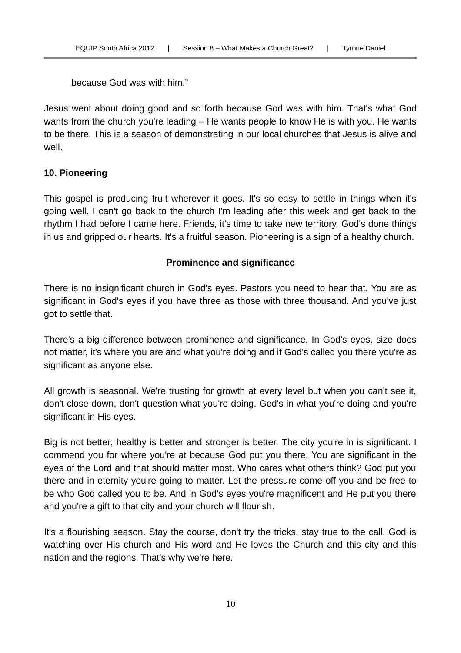because God was with him."

Jesus went about doing good and so forth because God was with him. That's what God wants from the church you're leading – He wants people to know He is with you. He wants to be there. This is a season of demonstrating in our local churches that Jesus is alive and well.

## **10. Pioneering**

This gospel is producing fruit wherever it goes. It's so easy to settle in things when it's going well. I can't go back to the church I'm leading after this week and get back to the rhythm I had before I came here. Friends, it's time to take new territory. God's done things in us and gripped our hearts. It's a fruitful season. Pioneering is a sign of a healthy church.

## **Prominence and significance**

There is no insignificant church in God's eyes. Pastors you need to hear that. You are as significant in God's eyes if you have three as those with three thousand. And you've just got to settle that.

There's a big difference between prominence and significance. In God's eyes, size does not matter, it's where you are and what you're doing and if God's called you there you're as significant as anyone else.

All growth is seasonal. We're trusting for growth at every level but when you can't see it, don't close down, don't question what you're doing. God's in what you're doing and you're significant in His eyes.

Big is not better; healthy is better and stronger is better. The city you're in is significant. I commend you for where you're at because God put you there. You are significant in the eyes of the Lord and that should matter most. Who cares what others think? God put you there and in eternity you're going to matter. Let the pressure come off you and be free to be who God called you to be. And in God's eyes you're magnificent and He put you there and you're a gift to that city and your church will flourish.

It's a flourishing season. Stay the course, don't try the tricks, stay true to the call. God is watching over His church and His word and He loves the Church and this city and this nation and the regions. That's why we're here.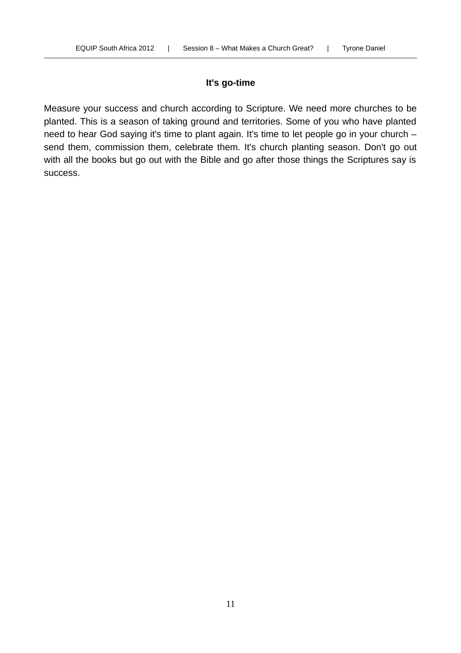## **It's go-time**

Measure your success and church according to Scripture. We need more churches to be planted. This is a season of taking ground and territories. Some of you who have planted need to hear God saying it's time to plant again. It's time to let people go in your church – send them, commission them, celebrate them. It's church planting season. Don't go out with all the books but go out with the Bible and go after those things the Scriptures say is success.